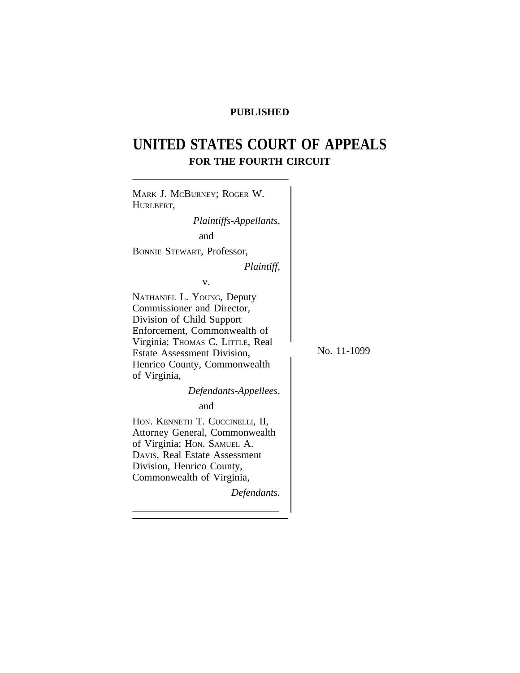# **PUBLISHED**

# **UNITED STATES COURT OF APPEALS FOR THE FOURTH CIRCUIT**

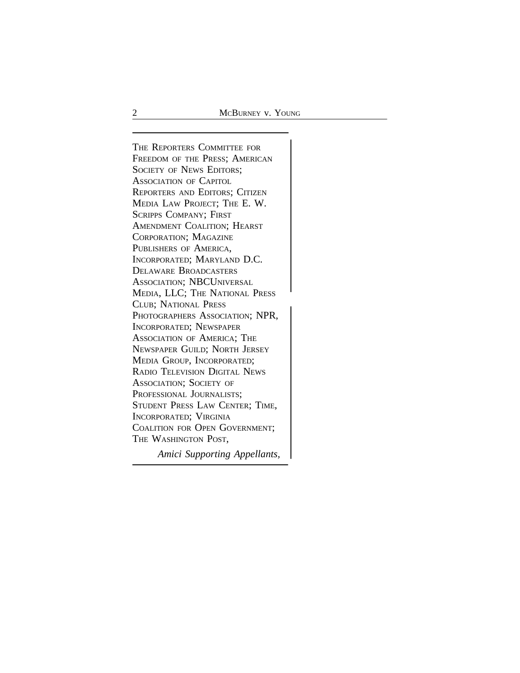<sup>T</sup>HE REPORTERS COMMITTEE FOR FREEDOM OF THE PRESS; AMERICAN SOCIETY OF NEWS EDITORS; ASSOCIATION OF CAPITOL REPORTERS AND EDITORS; CITIZEN MEDIA LAW PROJECT; THE E. W. SCRIPPS COMPANY; FIRST AMENDMENT COALITION; HEARST CORPORATION; MAGAZINE PUBLISHERS OF AMERICA, INCORPORATED; MARYLAND D.C. DELAWARE BROADCASTERS ASSOCIATION; NBCUNIVERSAL MEDIA, LLC; THE NATIONAL PRESS <sup>C</sup>LUB; NATIONAL PRESS PHOTOGRAPHERS ASSOCIATION; NPR, INCORPORATED; NEWSPAPER ASSOCIATION OF AMERICA; THE NEWSPAPER GUILD; NORTH JERSEY MEDIA GROUP, INCORPORATED; RADIO TELEVISION DIGITAL NEWS ASSOCIATION; SOCIETY OF PROFESSIONAL JOURNALISTS; STUDENT PRESS LAW CENTER; TIME, INCORPORATED; VIRGINIA COALITION FOR OPEN GOVERNMENT; THE WASHINGTON POST,

*Amici Supporting Appellants,*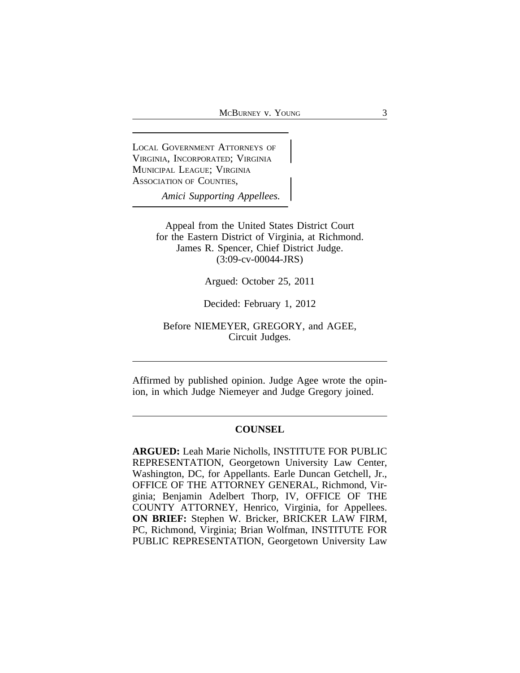<sup>L</sup>OCAL GOVERNMENT ATTORNEYS OF VIRGINIA, INCORPORATED; VIRGINIA <sup>M</sup>UNICIPAL LEAGUE; VIRGINIA ASSOCIATION OF COUNTIES,

*Amici Supporting Appellees.*

Appeal from the United States District Court for the Eastern District of Virginia, at Richmond. James R. Spencer, Chief District Judge. (3:09-cv-00044-JRS)

Argued: October 25, 2011

Decided: February 1, 2012

Before NIEMEYER, GREGORY, and AGEE, Circuit Judges.

Affirmed by published opinion. Judge Agee wrote the opinion, in which Judge Niemeyer and Judge Gregory joined.

## **COUNSEL**

**ARGUED:** Leah Marie Nicholls, INSTITUTE FOR PUBLIC REPRESENTATION, Georgetown University Law Center, Washington, DC, for Appellants. Earle Duncan Getchell, Jr., OFFICE OF THE ATTORNEY GENERAL, Richmond, Virginia; Benjamin Adelbert Thorp, IV, OFFICE OF THE COUNTY ATTORNEY, Henrico, Virginia, for Appellees. **ON BRIEF:** Stephen W. Bricker, BRICKER LAW FIRM, PC, Richmond, Virginia; Brian Wolfman, INSTITUTE FOR PUBLIC REPRESENTATION, Georgetown University Law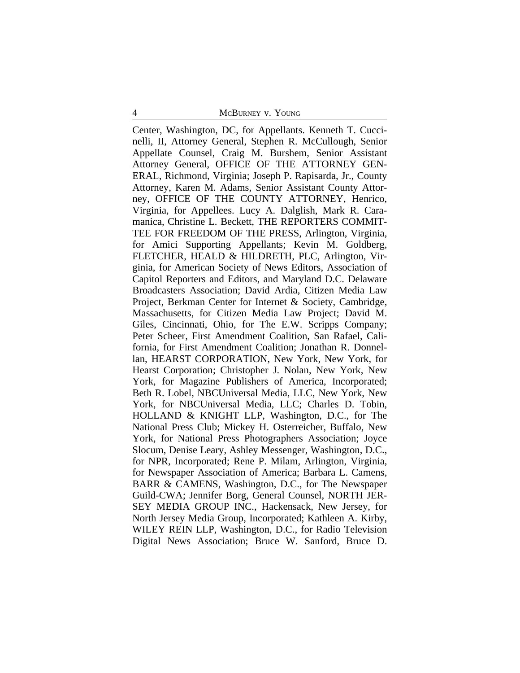Center, Washington, DC, for Appellants. Kenneth T. Cuccinelli, II, Attorney General, Stephen R. McCullough, Senior Appellate Counsel, Craig M. Burshem, Senior Assistant Attorney General, OFFICE OF THE ATTORNEY GEN-ERAL, Richmond, Virginia; Joseph P. Rapisarda, Jr., County Attorney, Karen M. Adams, Senior Assistant County Attorney, OFFICE OF THE COUNTY ATTORNEY, Henrico, Virginia, for Appellees. Lucy A. Dalglish, Mark R. Caramanica, Christine L. Beckett, THE REPORTERS COMMIT-TEE FOR FREEDOM OF THE PRESS, Arlington, Virginia, for Amici Supporting Appellants; Kevin M. Goldberg, FLETCHER, HEALD & HILDRETH, PLC, Arlington, Virginia, for American Society of News Editors, Association of Capitol Reporters and Editors, and Maryland D.C. Delaware Broadcasters Association; David Ardia, Citizen Media Law Project, Berkman Center for Internet & Society, Cambridge, Massachusetts, for Citizen Media Law Project; David M. Giles, Cincinnati, Ohio, for The E.W. Scripps Company; Peter Scheer, First Amendment Coalition, San Rafael, California, for First Amendment Coalition; Jonathan R. Donnellan, HEARST CORPORATION, New York, New York, for Hearst Corporation; Christopher J. Nolan, New York, New York, for Magazine Publishers of America, Incorporated; Beth R. Lobel, NBCUniversal Media, LLC, New York, New York, for NBCUniversal Media, LLC; Charles D. Tobin, HOLLAND & KNIGHT LLP, Washington, D.C., for The National Press Club; Mickey H. Osterreicher, Buffalo, New York, for National Press Photographers Association; Joyce Slocum, Denise Leary, Ashley Messenger, Washington, D.C., for NPR, Incorporated; Rene P. Milam, Arlington, Virginia, for Newspaper Association of America; Barbara L. Camens, BARR & CAMENS, Washington, D.C., for The Newspaper Guild-CWA; Jennifer Borg, General Counsel, NORTH JER-SEY MEDIA GROUP INC., Hackensack, New Jersey, for North Jersey Media Group, Incorporated; Kathleen A. Kirby, WILEY REIN LLP, Washington, D.C., for Radio Television Digital News Association; Bruce W. Sanford, Bruce D.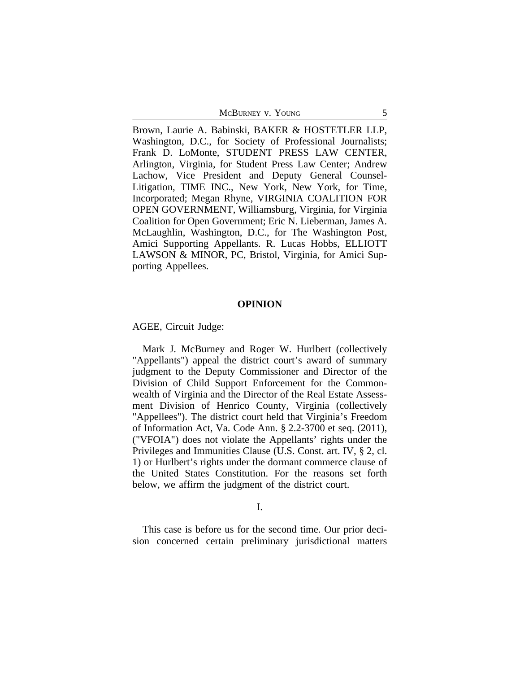Brown, Laurie A. Babinski, BAKER & HOSTETLER LLP, Washington, D.C., for Society of Professional Journalists; Frank D. LoMonte, STUDENT PRESS LAW CENTER, Arlington, Virginia, for Student Press Law Center; Andrew Lachow, Vice President and Deputy General Counsel-Litigation, TIME INC., New York, New York, for Time, Incorporated; Megan Rhyne, VIRGINIA COALITION FOR OPEN GOVERNMENT, Williamsburg, Virginia, for Virginia Coalition for Open Government; Eric N. Lieberman, James A. McLaughlin, Washington, D.C., for The Washington Post, Amici Supporting Appellants. R. Lucas Hobbs, ELLIOTT LAWSON & MINOR, PC, Bristol, Virginia, for Amici Supporting Appellees.

#### **OPINION**

AGEE, Circuit Judge:

Mark J. McBurney and Roger W. Hurlbert (collectively "Appellants") appeal the district court's award of summary judgment to the Deputy Commissioner and Director of the Division of Child Support Enforcement for the Commonwealth of Virginia and the Director of the Real Estate Assessment Division of Henrico County, Virginia (collectively "Appellees"). The district court held that Virginia's Freedom of Information Act, Va. Code Ann. § 2.2-3700 et seq. (2011), ("VFOIA") does not violate the Appellants' rights under the Privileges and Immunities Clause (U.S. Const. art. IV, § 2, cl. 1) or Hurlbert's rights under the dormant commerce clause of the United States Constitution. For the reasons set forth below, we affirm the judgment of the district court.

I.

This case is before us for the second time. Our prior decision concerned certain preliminary jurisdictional matters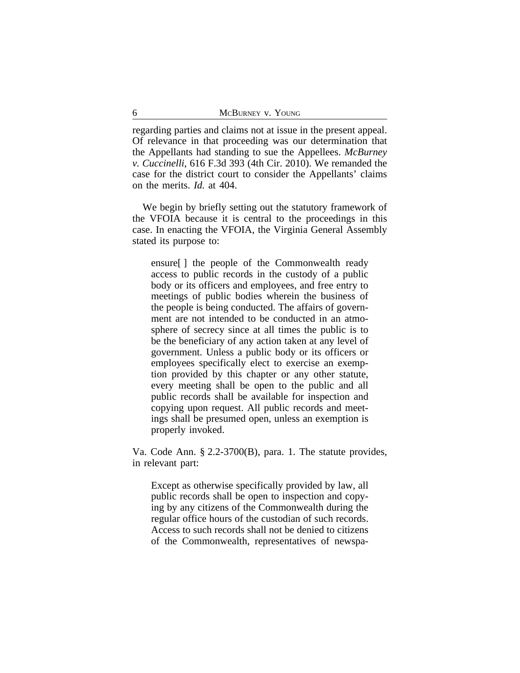regarding parties and claims not at issue in the present appeal. Of relevance in that proceeding was our determination that the Appellants had standing to sue the Appellees. *McBurney v. Cuccinelli*, 616 F.3d 393 (4th Cir. 2010). We remanded the case for the district court to consider the Appellants' claims on the merits. *Id.* at 404.

We begin by briefly setting out the statutory framework of the VFOIA because it is central to the proceedings in this case. In enacting the VFOIA, the Virginia General Assembly stated its purpose to:

ensure[ ] the people of the Commonwealth ready access to public records in the custody of a public body or its officers and employees, and free entry to meetings of public bodies wherein the business of the people is being conducted. The affairs of government are not intended to be conducted in an atmosphere of secrecy since at all times the public is to be the beneficiary of any action taken at any level of government. Unless a public body or its officers or employees specifically elect to exercise an exemption provided by this chapter or any other statute, every meeting shall be open to the public and all public records shall be available for inspection and copying upon request. All public records and meetings shall be presumed open, unless an exemption is properly invoked.

Va. Code Ann. § 2.2-3700(B), para. 1. The statute provides, in relevant part:

Except as otherwise specifically provided by law, all public records shall be open to inspection and copying by any citizens of the Commonwealth during the regular office hours of the custodian of such records. Access to such records shall not be denied to citizens of the Commonwealth, representatives of newspa-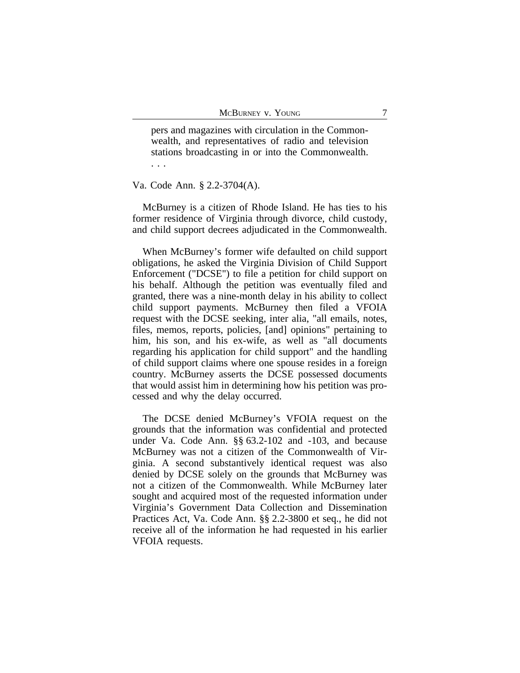pers and magazines with circulation in the Commonwealth, and representatives of radio and television stations broadcasting in or into the Commonwealth. . . .

Va. Code Ann. § 2.2-3704(A).

McBurney is a citizen of Rhode Island. He has ties to his former residence of Virginia through divorce, child custody, and child support decrees adjudicated in the Commonwealth.

When McBurney's former wife defaulted on child support obligations, he asked the Virginia Division of Child Support Enforcement ("DCSE") to file a petition for child support on his behalf. Although the petition was eventually filed and granted, there was a nine-month delay in his ability to collect child support payments. McBurney then filed a VFOIA request with the DCSE seeking, inter alia, "all emails, notes, files, memos, reports, policies, [and] opinions" pertaining to him, his son, and his ex-wife, as well as "all documents regarding his application for child support" and the handling of child support claims where one spouse resides in a foreign country. McBurney asserts the DCSE possessed documents that would assist him in determining how his petition was processed and why the delay occurred.

The DCSE denied McBurney's VFOIA request on the grounds that the information was confidential and protected under Va. Code Ann. §§ 63.2-102 and -103, and because McBurney was not a citizen of the Commonwealth of Virginia. A second substantively identical request was also denied by DCSE solely on the grounds that McBurney was not a citizen of the Commonwealth. While McBurney later sought and acquired most of the requested information under Virginia's Government Data Collection and Dissemination Practices Act, Va. Code Ann. §§ 2.2-3800 et seq., he did not receive all of the information he had requested in his earlier VFOIA requests.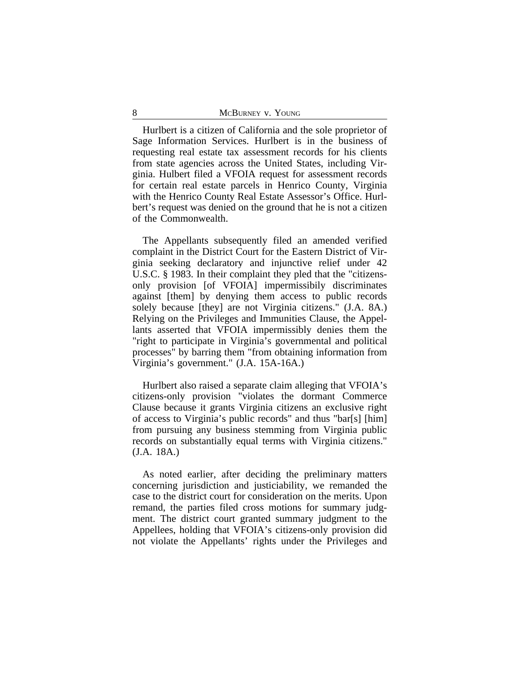Hurlbert is a citizen of California and the sole proprietor of Sage Information Services. Hurlbert is in the business of requesting real estate tax assessment records for his clients from state agencies across the United States, including Virginia. Hulbert filed a VFOIA request for assessment records for certain real estate parcels in Henrico County, Virginia with the Henrico County Real Estate Assessor's Office. Hurlbert's request was denied on the ground that he is not a citizen of the Commonwealth.

The Appellants subsequently filed an amended verified complaint in the District Court for the Eastern District of Virginia seeking declaratory and injunctive relief under 42 U.S.C. § 1983. In their complaint they pled that the "citizensonly provision [of VFOIA] impermissibily discriminates against [them] by denying them access to public records solely because [they] are not Virginia citizens." (J.A. 8A.) Relying on the Privileges and Immunities Clause, the Appellants asserted that VFOIA impermissibly denies them the "right to participate in Virginia's governmental and political processes" by barring them "from obtaining information from Virginia's government." (J.A. 15A-16A.)

Hurlbert also raised a separate claim alleging that VFOIA's citizens-only provision "violates the dormant Commerce Clause because it grants Virginia citizens an exclusive right of access to Virginia's public records" and thus "bar[s] [him] from pursuing any business stemming from Virginia public records on substantially equal terms with Virginia citizens." (J.A. 18A.)

As noted earlier, after deciding the preliminary matters concerning jurisdiction and justiciability, we remanded the case to the district court for consideration on the merits. Upon remand, the parties filed cross motions for summary judgment. The district court granted summary judgment to the Appellees, holding that VFOIA's citizens-only provision did not violate the Appellants' rights under the Privileges and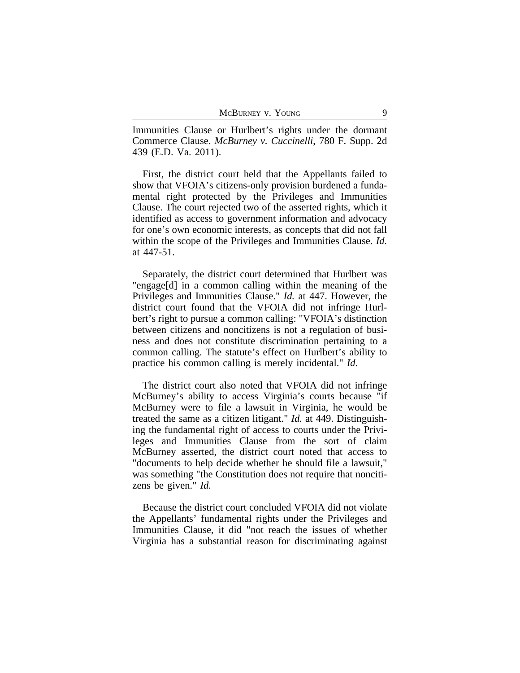Immunities Clause or Hurlbert's rights under the dormant Commerce Clause. *McBurney v. Cuccinelli*, 780 F. Supp. 2d 439 (E.D. Va. 2011).

First, the district court held that the Appellants failed to show that VFOIA's citizens-only provision burdened a fundamental right protected by the Privileges and Immunities Clause. The court rejected two of the asserted rights, which it identified as access to government information and advocacy for one's own economic interests, as concepts that did not fall within the scope of the Privileges and Immunities Clause. *Id.* at 447-51.

Separately, the district court determined that Hurlbert was "engage[d] in a common calling within the meaning of the Privileges and Immunities Clause." *Id.* at 447. However, the district court found that the VFOIA did not infringe Hurlbert's right to pursue a common calling: "VFOIA's distinction between citizens and noncitizens is not a regulation of business and does not constitute discrimination pertaining to a common calling. The statute's effect on Hurlbert's ability to practice his common calling is merely incidental." *Id.*

The district court also noted that VFOIA did not infringe McBurney's ability to access Virginia's courts because "if McBurney were to file a lawsuit in Virginia, he would be treated the same as a citizen litigant." *Id.* at 449. Distinguishing the fundamental right of access to courts under the Privileges and Immunities Clause from the sort of claim McBurney asserted, the district court noted that access to "documents to help decide whether he should file a lawsuit," was something "the Constitution does not require that noncitizens be given." *Id.*

Because the district court concluded VFOIA did not violate the Appellants' fundamental rights under the Privileges and Immunities Clause, it did "not reach the issues of whether Virginia has a substantial reason for discriminating against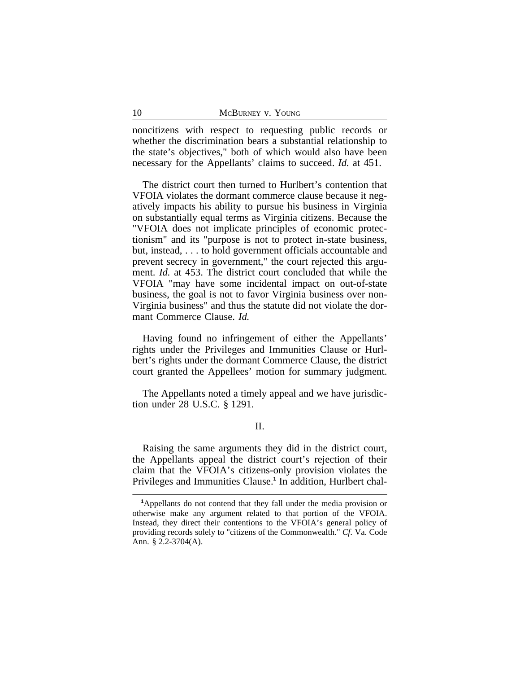noncitizens with respect to requesting public records or whether the discrimination bears a substantial relationship to the state's objectives," both of which would also have been necessary for the Appellants' claims to succeed. *Id.* at 451.

The district court then turned to Hurlbert's contention that VFOIA violates the dormant commerce clause because it negatively impacts his ability to pursue his business in Virginia on substantially equal terms as Virginia citizens. Because the "VFOIA does not implicate principles of economic protectionism" and its "purpose is not to protect in-state business, but, instead, . . . to hold government officials accountable and prevent secrecy in government," the court rejected this argument. *Id.* at 453. The district court concluded that while the VFOIA "may have some incidental impact on out-of-state business, the goal is not to favor Virginia business over non-Virginia business" and thus the statute did not violate the dormant Commerce Clause. *Id.*

Having found no infringement of either the Appellants' rights under the Privileges and Immunities Clause or Hurlbert's rights under the dormant Commerce Clause, the district court granted the Appellees' motion for summary judgment.

The Appellants noted a timely appeal and we have jurisdiction under 28 U.S.C. § 1291.

## II.

Raising the same arguments they did in the district court, the Appellants appeal the district court's rejection of their claim that the VFOIA's citizens-only provision violates the Privileges and Immunities Clause.**<sup>1</sup>** In addition, Hurlbert chal-

**<sup>1</sup>**Appellants do not contend that they fall under the media provision or otherwise make any argument related to that portion of the VFOIA. Instead, they direct their contentions to the VFOIA's general policy of providing records solely to "citizens of the Commonwealth." *Cf.* Va. Code Ann. § 2.2-3704(A).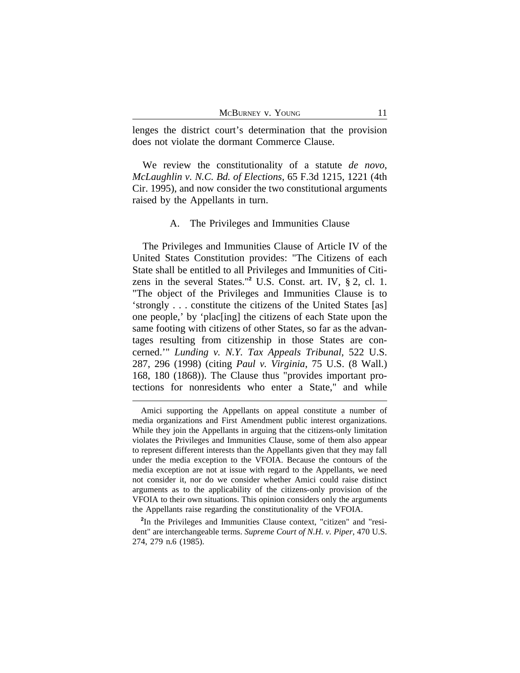lenges the district court's determination that the provision does not violate the dormant Commerce Clause.

We review the constitutionality of a statute *de novo*, *McLaughlin v. N.C. Bd. of Elections*, 65 F.3d 1215, 1221 (4th Cir. 1995), and now consider the two constitutional arguments raised by the Appellants in turn.

#### A. The Privileges and Immunities Clause

The Privileges and Immunities Clause of Article IV of the United States Constitution provides: "The Citizens of each State shall be entitled to all Privileges and Immunities of Citizens in the several States."**<sup>2</sup>** U.S. Const. art. IV, § 2, cl. 1. "The object of the Privileges and Immunities Clause is to 'strongly . . . constitute the citizens of the United States [as] one people,' by 'plac[ing] the citizens of each State upon the same footing with citizens of other States, so far as the advantages resulting from citizenship in those States are concerned.'" *Lunding v. N.Y. Tax Appeals Tribunal*, 522 U.S. 287, 296 (1998) (citing *Paul v. Virginia*, 75 U.S. (8 Wall.) 168, 180 (1868)). The Clause thus "provides important protections for nonresidents who enter a State," and while

Amici supporting the Appellants on appeal constitute a number of media organizations and First Amendment public interest organizations. While they join the Appellants in arguing that the citizens-only limitation violates the Privileges and Immunities Clause, some of them also appear to represent different interests than the Appellants given that they may fall under the media exception to the VFOIA. Because the contours of the media exception are not at issue with regard to the Appellants, we need not consider it, nor do we consider whether Amici could raise distinct arguments as to the applicability of the citizens-only provision of the VFOIA to their own situations. This opinion considers only the arguments the Appellants raise regarding the constitutionality of the VFOIA.

**<sup>2</sup>** In the Privileges and Immunities Clause context, "citizen" and "resident" are interchangeable terms. *Supreme Court of N.H. v. Piper*, 470 U.S. 274, 279 n.6 (1985).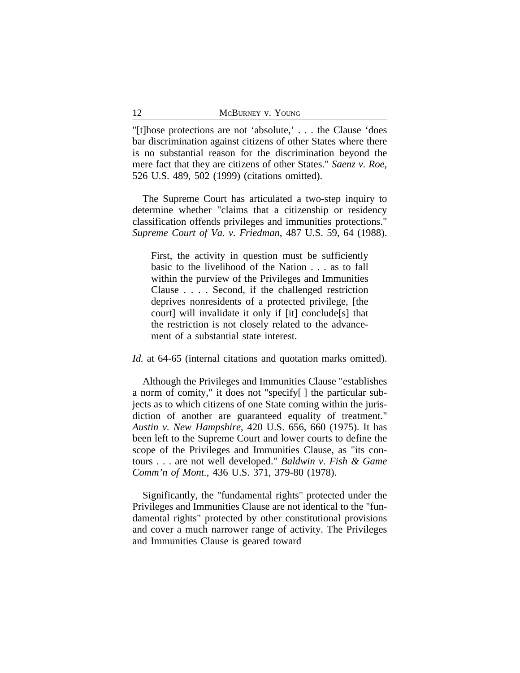"[t]hose protections are not 'absolute,' . . . the Clause 'does bar discrimination against citizens of other States where there is no substantial reason for the discrimination beyond the mere fact that they are citizens of other States." *Saenz v. Roe*, 526 U.S. 489, 502 (1999) (citations omitted).

The Supreme Court has articulated a two-step inquiry to determine whether "claims that a citizenship or residency classification offends privileges and immunities protections." *Supreme Court of Va. v. Friedman*, 487 U.S. 59, 64 (1988).

First, the activity in question must be sufficiently basic to the livelihood of the Nation . . . as to fall within the purview of the Privileges and Immunities Clause . . . . Second, if the challenged restriction deprives nonresidents of a protected privilege, [the court] will invalidate it only if [it] conclude[s] that the restriction is not closely related to the advancement of a substantial state interest.

*Id.* at 64-65 (internal citations and quotation marks omitted).

Although the Privileges and Immunities Clause "establishes a norm of comity," it does not "specify[ ] the particular subjects as to which citizens of one State coming within the jurisdiction of another are guaranteed equality of treatment." *Austin v. New Hampshire*, 420 U.S. 656, 660 (1975). It has been left to the Supreme Court and lower courts to define the scope of the Privileges and Immunities Clause, as "its contours . . . are not well developed." *Baldwin v. Fish & Game Comm'n of Mont.*, 436 U.S. 371, 379-80 (1978).

Significantly, the "fundamental rights" protected under the Privileges and Immunities Clause are not identical to the "fundamental rights" protected by other constitutional provisions and cover a much narrower range of activity. The Privileges and Immunities Clause is geared toward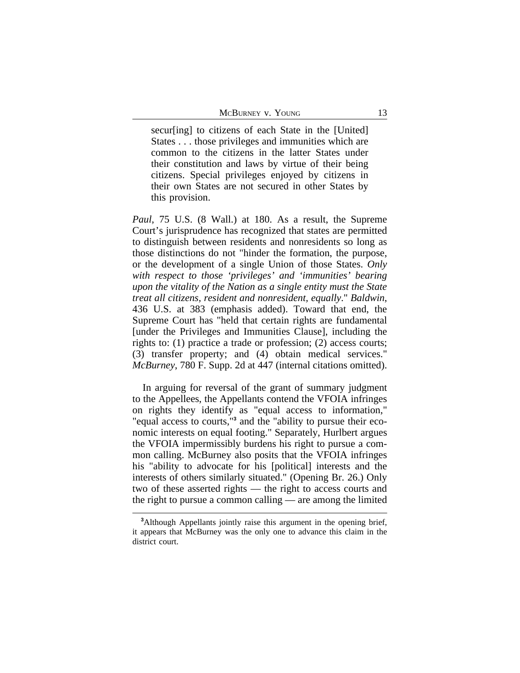secur[ing] to citizens of each State in the [United] States . . . those privileges and immunities which are common to the citizens in the latter States under their constitution and laws by virtue of their being citizens. Special privileges enjoyed by citizens in their own States are not secured in other States by this provision.

*Paul*, 75 U.S. (8 Wall.) at 180. As a result, the Supreme Court's jurisprudence has recognized that states are permitted to distinguish between residents and nonresidents so long as those distinctions do not "hinder the formation, the purpose, or the development of a single Union of those States. *Only with respect to those 'privileges' and 'immunities' bearing upon the vitality of the Nation as a single entity must the State treat all citizens, resident and nonresident, equally*." *Baldwin*, 436 U.S. at 383 (emphasis added). Toward that end, the Supreme Court has "held that certain rights are fundamental [under the Privileges and Immunities Clause], including the rights to: (1) practice a trade or profession; (2) access courts; (3) transfer property; and (4) obtain medical services." *McBurney*, 780 F. Supp. 2d at 447 (internal citations omitted).

In arguing for reversal of the grant of summary judgment to the Appellees, the Appellants contend the VFOIA infringes on rights they identify as "equal access to information," "equal access to courts,"**<sup>3</sup>** and the "ability to pursue their economic interests on equal footing." Separately, Hurlbert argues the VFOIA impermissibly burdens his right to pursue a common calling. McBurney also posits that the VFOIA infringes his "ability to advocate for his [political] interests and the interests of others similarly situated." (Opening Br. 26.) Only two of these asserted rights — the right to access courts and the right to pursue a common calling — are among the limited

**<sup>3</sup>**Although Appellants jointly raise this argument in the opening brief, it appears that McBurney was the only one to advance this claim in the district court.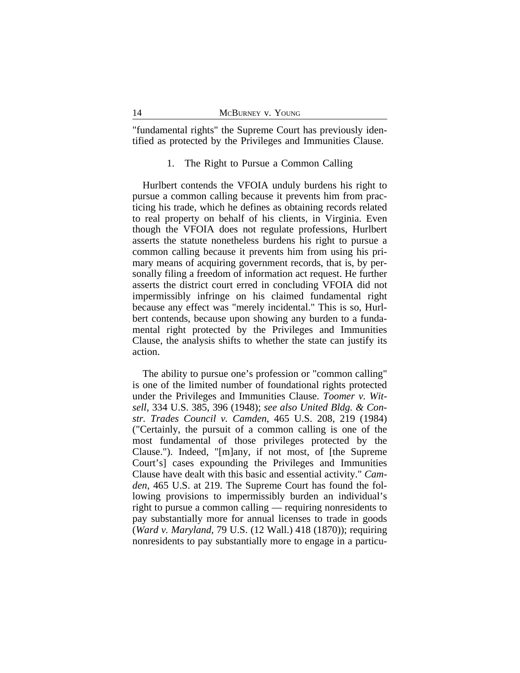"fundamental rights" the Supreme Court has previously identified as protected by the Privileges and Immunities Clause.

## 1. The Right to Pursue a Common Calling

Hurlbert contends the VFOIA unduly burdens his right to pursue a common calling because it prevents him from practicing his trade, which he defines as obtaining records related to real property on behalf of his clients, in Virginia. Even though the VFOIA does not regulate professions, Hurlbert asserts the statute nonetheless burdens his right to pursue a common calling because it prevents him from using his primary means of acquiring government records, that is, by personally filing a freedom of information act request. He further asserts the district court erred in concluding VFOIA did not impermissibly infringe on his claimed fundamental right because any effect was "merely incidental." This is so, Hurlbert contends, because upon showing any burden to a fundamental right protected by the Privileges and Immunities Clause, the analysis shifts to whether the state can justify its action.

The ability to pursue one's profession or "common calling" is one of the limited number of foundational rights protected under the Privileges and Immunities Clause. *Toomer v. Witsell*, 334 U.S. 385, 396 (1948); *see also United Bldg. & Constr. Trades Council v. Camden*, 465 U.S. 208, 219 (1984) ("Certainly, the pursuit of a common calling is one of the most fundamental of those privileges protected by the Clause."). Indeed, "[m]any, if not most, of [the Supreme Court's] cases expounding the Privileges and Immunities Clause have dealt with this basic and essential activity." *Camden*, 465 U.S. at 219. The Supreme Court has found the following provisions to impermissibly burden an individual's right to pursue a common calling — requiring nonresidents to pay substantially more for annual licenses to trade in goods (*Ward v. Maryland*, 79 U.S. (12 Wall.) 418 (1870)); requiring nonresidents to pay substantially more to engage in a particu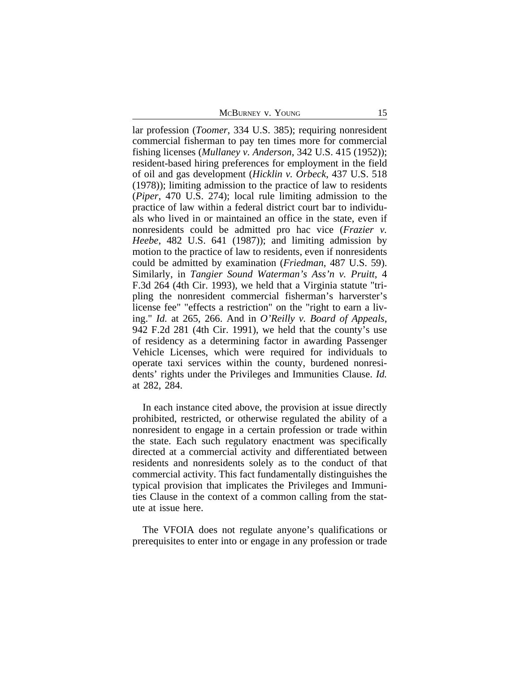McBurney v. Young 15

lar profession (*Toomer*, 334 U.S. 385); requiring nonresident commercial fisherman to pay ten times more for commercial fishing licenses (*Mullaney v. Anderson*, 342 U.S. 415 (1952)); resident-based hiring preferences for employment in the field of oil and gas development (*Hicklin v. Orbeck*, 437 U.S. 518 (1978)); limiting admission to the practice of law to residents (*Piper*, 470 U.S. 274); local rule limiting admission to the practice of law within a federal district court bar to individuals who lived in or maintained an office in the state, even if nonresidents could be admitted pro hac vice (*Frazier v. Heebe*, 482 U.S. 641 (1987)); and limiting admission by motion to the practice of law to residents, even if nonresidents could be admitted by examination (*Friedman*, 487 U.S. 59). Similarly, in *Tangier Sound Waterman's Ass'n v. Pruitt*, 4 F.3d 264 (4th Cir. 1993), we held that a Virginia statute "tripling the nonresident commercial fisherman's harverster's license fee" "effects a restriction" on the "right to earn a living." *Id.* at 265, 266. And in *O'Reilly v. Board of Appeals*, 942 F.2d 281 (4th Cir. 1991), we held that the county's use of residency as a determining factor in awarding Passenger Vehicle Licenses, which were required for individuals to operate taxi services within the county, burdened nonresidents' rights under the Privileges and Immunities Clause. *Id.* at 282, 284.

In each instance cited above, the provision at issue directly prohibited, restricted, or otherwise regulated the ability of a nonresident to engage in a certain profession or trade within the state. Each such regulatory enactment was specifically directed at a commercial activity and differentiated between residents and nonresidents solely as to the conduct of that commercial activity. This fact fundamentally distinguishes the typical provision that implicates the Privileges and Immunities Clause in the context of a common calling from the statute at issue here.

The VFOIA does not regulate anyone's qualifications or prerequisites to enter into or engage in any profession or trade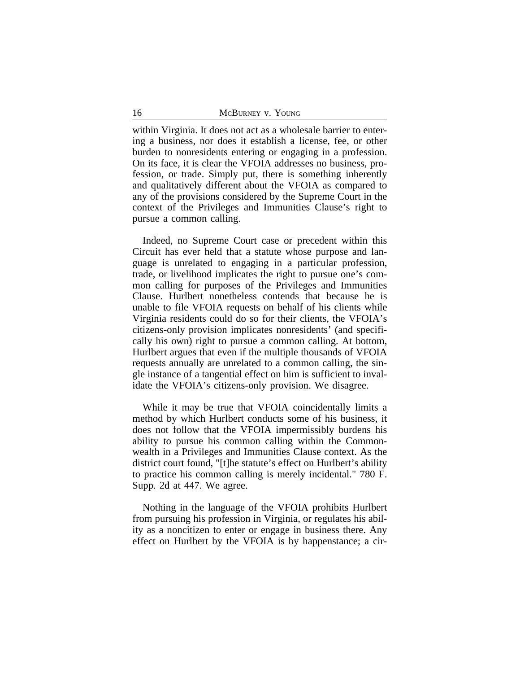within Virginia. It does not act as a wholesale barrier to entering a business, nor does it establish a license, fee, or other burden to nonresidents entering or engaging in a profession. On its face, it is clear the VFOIA addresses no business, profession, or trade. Simply put, there is something inherently and qualitatively different about the VFOIA as compared to any of the provisions considered by the Supreme Court in the context of the Privileges and Immunities Clause's right to pursue a common calling.

Indeed, no Supreme Court case or precedent within this Circuit has ever held that a statute whose purpose and language is unrelated to engaging in a particular profession, trade, or livelihood implicates the right to pursue one's common calling for purposes of the Privileges and Immunities Clause. Hurlbert nonetheless contends that because he is unable to file VFOIA requests on behalf of his clients while Virginia residents could do so for their clients, the VFOIA's citizens-only provision implicates nonresidents' (and specifically his own) right to pursue a common calling. At bottom, Hurlbert argues that even if the multiple thousands of VFOIA requests annually are unrelated to a common calling, the single instance of a tangential effect on him is sufficient to invalidate the VFOIA's citizens-only provision. We disagree.

While it may be true that VFOIA coincidentally limits a method by which Hurlbert conducts some of his business, it does not follow that the VFOIA impermissibly burdens his ability to pursue his common calling within the Commonwealth in a Privileges and Immunities Clause context. As the district court found, "[t]he statute's effect on Hurlbert's ability to practice his common calling is merely incidental." 780 F. Supp. 2d at 447. We agree.

Nothing in the language of the VFOIA prohibits Hurlbert from pursuing his profession in Virginia, or regulates his ability as a noncitizen to enter or engage in business there. Any effect on Hurlbert by the VFOIA is by happenstance; a cir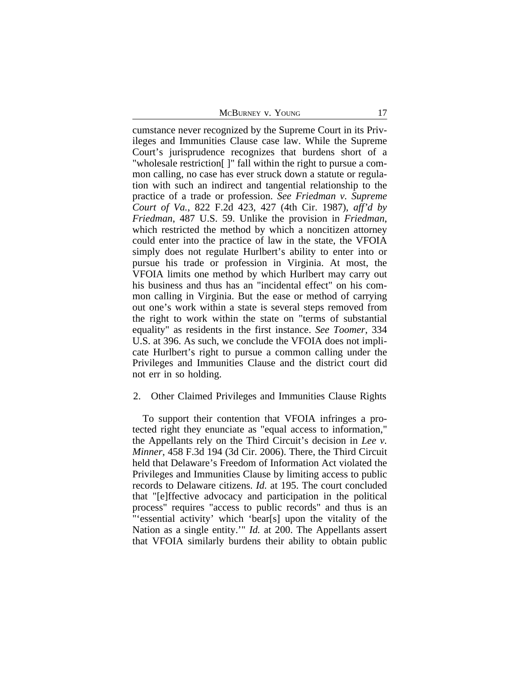McBurney v. Young 17

cumstance never recognized by the Supreme Court in its Privileges and Immunities Clause case law. While the Supreme Court's jurisprudence recognizes that burdens short of a "wholesale restriction[ ]" fall within the right to pursue a common calling, no case has ever struck down a statute or regulation with such an indirect and tangential relationship to the practice of a trade or profession. *See Friedman v. Supreme Court of Va.*, 822 F.2d 423, 427 (4th Cir. 1987), *aff'd by Friedman*, 487 U.S. 59. Unlike the provision in *Friedman*, which restricted the method by which a noncitizen attorney could enter into the practice of law in the state, the VFOIA simply does not regulate Hurlbert's ability to enter into or pursue his trade or profession in Virginia. At most, the VFOIA limits one method by which Hurlbert may carry out his business and thus has an "incidental effect" on his common calling in Virginia. But the ease or method of carrying out one's work within a state is several steps removed from the right to work within the state on "terms of substantial equality" as residents in the first instance. *See Toomer*, 334 U.S. at 396. As such, we conclude the VFOIA does not implicate Hurlbert's right to pursue a common calling under the Privileges and Immunities Clause and the district court did not err in so holding.

#### 2. Other Claimed Privileges and Immunities Clause Rights

To support their contention that VFOIA infringes a protected right they enunciate as "equal access to information," the Appellants rely on the Third Circuit's decision in *Lee v. Minner*, 458 F.3d 194 (3d Cir. 2006). There, the Third Circuit held that Delaware's Freedom of Information Act violated the Privileges and Immunities Clause by limiting access to public records to Delaware citizens. *Id.* at 195. The court concluded that "[e]ffective advocacy and participation in the political process" requires "access to public records" and thus is an "'essential activity' which 'bear[s] upon the vitality of the Nation as a single entity.'" *Id.* at 200. The Appellants assert that VFOIA similarly burdens their ability to obtain public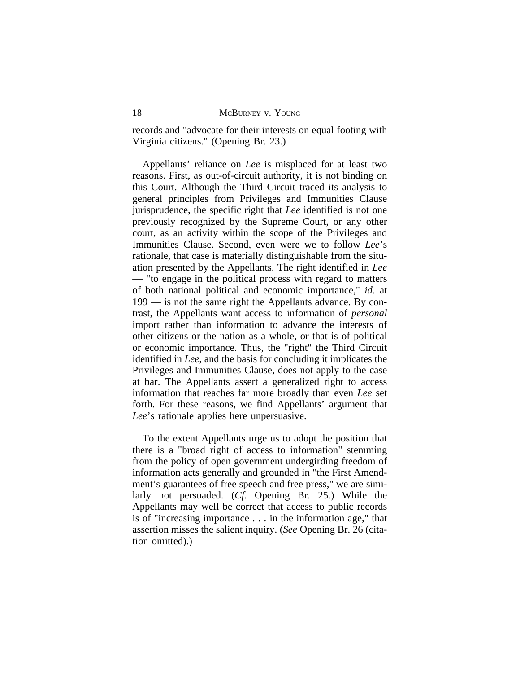records and "advocate for their interests on equal footing with Virginia citizens." (Opening Br. 23.)

Appellants' reliance on *Lee* is misplaced for at least two reasons. First, as out-of-circuit authority, it is not binding on this Court. Although the Third Circuit traced its analysis to general principles from Privileges and Immunities Clause jurisprudence, the specific right that *Lee* identified is not one previously recognized by the Supreme Court, or any other court, as an activity within the scope of the Privileges and Immunities Clause. Second, even were we to follow *Lee*'s rationale, that case is materially distinguishable from the situation presented by the Appellants. The right identified in *Lee* — "to engage in the political process with regard to matters of both national political and economic importance," *id.* at 199 — is not the same right the Appellants advance. By contrast, the Appellants want access to information of *personal* import rather than information to advance the interests of other citizens or the nation as a whole, or that is of political or economic importance. Thus, the "right" the Third Circuit identified in *Lee*, and the basis for concluding it implicates the Privileges and Immunities Clause, does not apply to the case at bar. The Appellants assert a generalized right to access information that reaches far more broadly than even *Lee* set forth. For these reasons, we find Appellants' argument that *Lee*'s rationale applies here unpersuasive.

To the extent Appellants urge us to adopt the position that there is a "broad right of access to information" stemming from the policy of open government undergirding freedom of information acts generally and grounded in "the First Amendment's guarantees of free speech and free press," we are similarly not persuaded. (*Cf.* Opening Br. 25.) While the Appellants may well be correct that access to public records is of "increasing importance . . . in the information age," that assertion misses the salient inquiry. (*See* Opening Br. 26 (citation omitted).)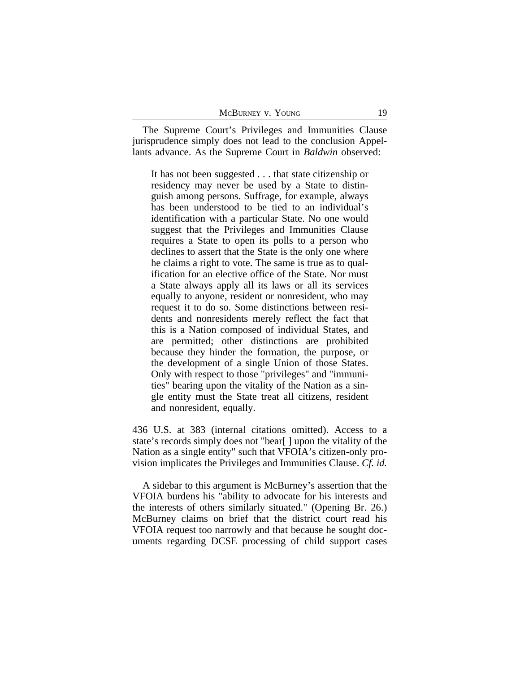The Supreme Court's Privileges and Immunities Clause jurisprudence simply does not lead to the conclusion Appellants advance. As the Supreme Court in *Baldwin* observed:

It has not been suggested . . . that state citizenship or residency may never be used by a State to distinguish among persons. Suffrage, for example, always has been understood to be tied to an individual's identification with a particular State. No one would suggest that the Privileges and Immunities Clause requires a State to open its polls to a person who declines to assert that the State is the only one where he claims a right to vote. The same is true as to qualification for an elective office of the State. Nor must a State always apply all its laws or all its services equally to anyone, resident or nonresident, who may request it to do so. Some distinctions between residents and nonresidents merely reflect the fact that this is a Nation composed of individual States, and are permitted; other distinctions are prohibited because they hinder the formation, the purpose, or the development of a single Union of those States. Only with respect to those "privileges" and "immunities" bearing upon the vitality of the Nation as a single entity must the State treat all citizens, resident and nonresident, equally.

436 U.S. at 383 (internal citations omitted). Access to a state's records simply does not "bear[ ] upon the vitality of the Nation as a single entity" such that VFOIA's citizen-only provision implicates the Privileges and Immunities Clause. *Cf. id.*

A sidebar to this argument is McBurney's assertion that the VFOIA burdens his "ability to advocate for his interests and the interests of others similarly situated." (Opening Br. 26.) McBurney claims on brief that the district court read his VFOIA request too narrowly and that because he sought documents regarding DCSE processing of child support cases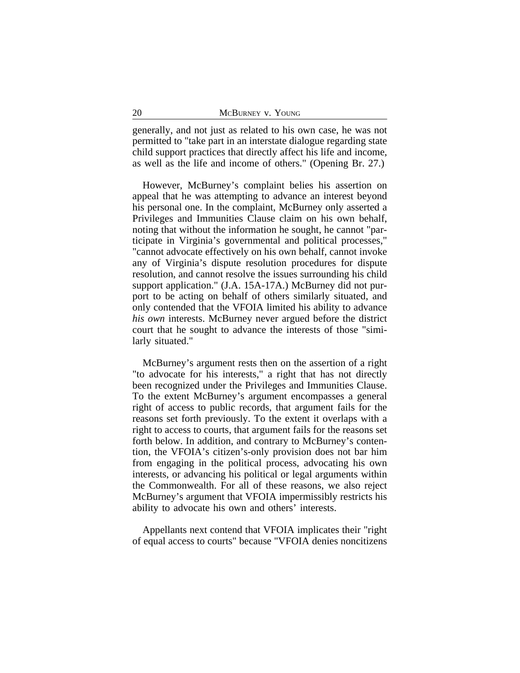generally, and not just as related to his own case, he was not permitted to "take part in an interstate dialogue regarding state child support practices that directly affect his life and income, as well as the life and income of others." (Opening Br. 27.)

However, McBurney's complaint belies his assertion on appeal that he was attempting to advance an interest beyond his personal one. In the complaint, McBurney only asserted a Privileges and Immunities Clause claim on his own behalf, noting that without the information he sought, he cannot "participate in Virginia's governmental and political processes," "cannot advocate effectively on his own behalf, cannot invoke any of Virginia's dispute resolution procedures for dispute resolution, and cannot resolve the issues surrounding his child support application." (J.A. 15A-17A.) McBurney did not purport to be acting on behalf of others similarly situated, and only contended that the VFOIA limited his ability to advance *his own* interests. McBurney never argued before the district court that he sought to advance the interests of those "similarly situated."

McBurney's argument rests then on the assertion of a right "to advocate for his interests," a right that has not directly been recognized under the Privileges and Immunities Clause. To the extent McBurney's argument encompasses a general right of access to public records, that argument fails for the reasons set forth previously. To the extent it overlaps with a right to access to courts, that argument fails for the reasons set forth below. In addition, and contrary to McBurney's contention, the VFOIA's citizen's-only provision does not bar him from engaging in the political process, advocating his own interests, or advancing his political or legal arguments within the Commonwealth. For all of these reasons, we also reject McBurney's argument that VFOIA impermissibly restricts his ability to advocate his own and others' interests.

Appellants next contend that VFOIA implicates their "right of equal access to courts" because "VFOIA denies noncitizens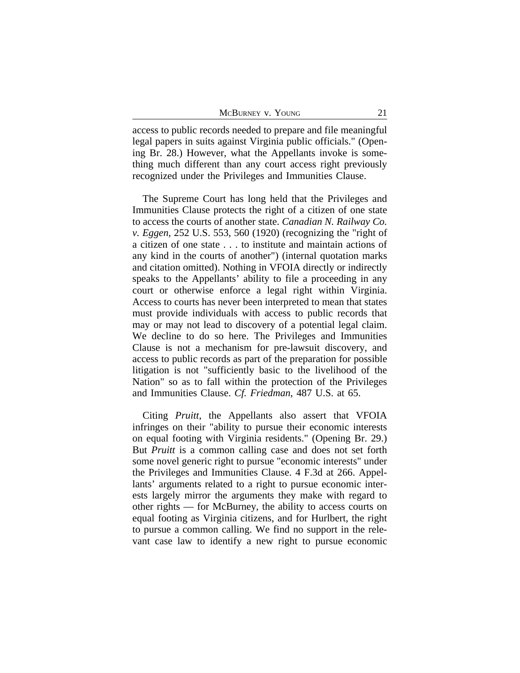| MCBURNEY V. YOUNG |  |
|-------------------|--|
|-------------------|--|

access to public records needed to prepare and file meaningful legal papers in suits against Virginia public officials." (Opening Br. 28.) However, what the Appellants invoke is something much different than any court access right previously recognized under the Privileges and Immunities Clause.

The Supreme Court has long held that the Privileges and Immunities Clause protects the right of a citizen of one state to access the courts of another state. *Canadian N. Railway Co. v. Eggen*, 252 U.S. 553, 560 (1920) (recognizing the "right of a citizen of one state . . . to institute and maintain actions of any kind in the courts of another") (internal quotation marks and citation omitted). Nothing in VFOIA directly or indirectly speaks to the Appellants' ability to file a proceeding in any court or otherwise enforce a legal right within Virginia. Access to courts has never been interpreted to mean that states must provide individuals with access to public records that may or may not lead to discovery of a potential legal claim. We decline to do so here. The Privileges and Immunities Clause is not a mechanism for pre-lawsuit discovery, and access to public records as part of the preparation for possible litigation is not "sufficiently basic to the livelihood of the Nation" so as to fall within the protection of the Privileges and Immunities Clause. *Cf. Friedman*, 487 U.S. at 65.

Citing *Pruitt*, the Appellants also assert that VFOIA infringes on their "ability to pursue their economic interests on equal footing with Virginia residents." (Opening Br. 29.) But *Pruitt* is a common calling case and does not set forth some novel generic right to pursue "economic interests" under the Privileges and Immunities Clause. 4 F.3d at 266. Appellants' arguments related to a right to pursue economic interests largely mirror the arguments they make with regard to other rights — for McBurney, the ability to access courts on equal footing as Virginia citizens, and for Hurlbert, the right to pursue a common calling. We find no support in the relevant case law to identify a new right to pursue economic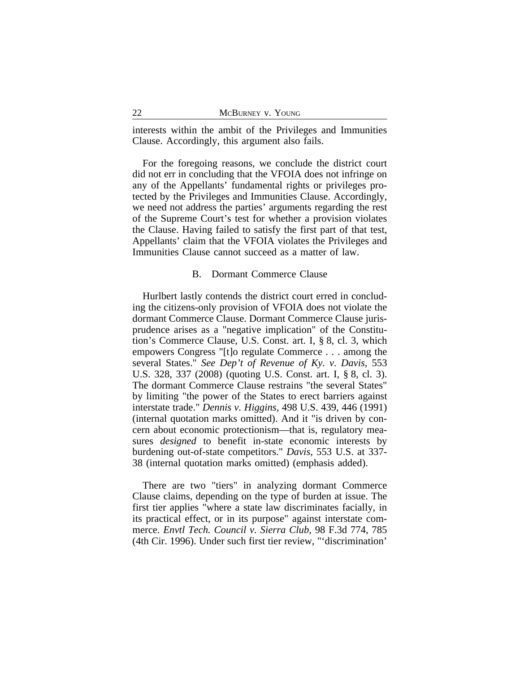interests within the ambit of the Privileges and Immunities Clause. Accordingly, this argument also fails.

For the foregoing reasons, we conclude the district court did not err in concluding that the VFOIA does not infringe on any of the Appellants' fundamental rights or privileges protected by the Privileges and Immunities Clause. Accordingly, we need not address the parties' arguments regarding the rest of the Supreme Court's test for whether a provision violates the Clause. Having failed to satisfy the first part of that test, Appellants' claim that the VFOIA violates the Privileges and Immunities Clause cannot succeed as a matter of law.

#### B. Dormant Commerce Clause

Hurlbert lastly contends the district court erred in concluding the citizens-only provision of VFOIA does not violate the dormant Commerce Clause. Dormant Commerce Clause jurisprudence arises as a "negative implication" of the Constitution's Commerce Clause, U.S. Const. art. I, § 8, cl. 3, which empowers Congress "[t]o regulate Commerce . . . among the several States." *See Dep't of Revenue of Ky. v. Davis*, 553 U.S. 328, 337 (2008) (quoting U.S. Const. art. I, § 8, cl. 3). The dormant Commerce Clause restrains "the several States" by limiting "the power of the States to erect barriers against interstate trade." *Dennis v. Higgins*, 498 U.S. 439, 446 (1991) (internal quotation marks omitted). And it "is driven by concern about economic protectionism—that is, regulatory measures *designed* to benefit in-state economic interests by burdening out-of-state competitors." *Davis*, 553 U.S. at 337- 38 (internal quotation marks omitted) (emphasis added).

There are two "tiers" in analyzing dormant Commerce Clause claims, depending on the type of burden at issue. The first tier applies "where a state law discriminates facially, in its practical effect, or in its purpose" against interstate commerce. *Envtl Tech. Council v. Sierra Club*, 98 F.3d 774, 785 (4th Cir. 1996). Under such first tier review, "'discrimination'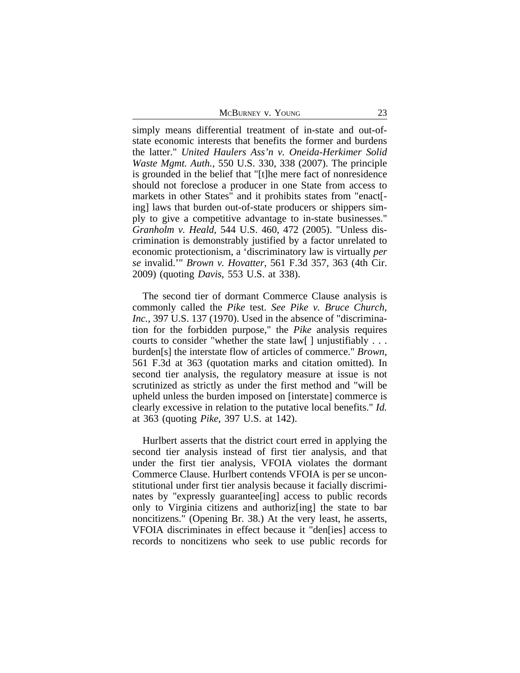McBurney v. Young 23

simply means differential treatment of in-state and out-ofstate economic interests that benefits the former and burdens the latter." *United Haulers Ass'n v. Oneida-Herkimer Solid Waste Mgmt. Auth.*, 550 U.S. 330, 338 (2007). The principle is grounded in the belief that "[t]he mere fact of nonresidence should not foreclose a producer in one State from access to markets in other States" and it prohibits states from "enact[ ing] laws that burden out-of-state producers or shippers simply to give a competitive advantage to in-state businesses." *Granholm v. Heald*, 544 U.S. 460, 472 (2005). "Unless discrimination is demonstrably justified by a factor unrelated to economic protectionism, a 'discriminatory law is virtually *per se* invalid.'" *Brown v. Hovatter*, 561 F.3d 357, 363 (4th Cir. 2009) (quoting *Davis*, 553 U.S. at 338).

The second tier of dormant Commerce Clause analysis is commonly called the *Pike* test. *See Pike v. Bruce Church, Inc.*, 397 U.S. 137 (1970). Used in the absence of "discrimination for the forbidden purpose," the *Pike* analysis requires courts to consider "whether the state law[ ] unjustifiably . . . burden[s] the interstate flow of articles of commerce." *Brown*, 561 F.3d at 363 (quotation marks and citation omitted). In second tier analysis, the regulatory measure at issue is not scrutinized as strictly as under the first method and "will be upheld unless the burden imposed on [interstate] commerce is clearly excessive in relation to the putative local benefits." *Id.* at 363 (quoting *Pike*, 397 U.S. at 142).

Hurlbert asserts that the district court erred in applying the second tier analysis instead of first tier analysis, and that under the first tier analysis, VFOIA violates the dormant Commerce Clause. Hurlbert contends VFOIA is per se unconstitutional under first tier analysis because it facially discriminates by "expressly guarantee[ing] access to public records only to Virginia citizens and authoriz[ing] the state to bar noncitizens." (Opening Br. 38.) At the very least, he asserts, VFOIA discriminates in effect because it "den[ies] access to records to noncitizens who seek to use public records for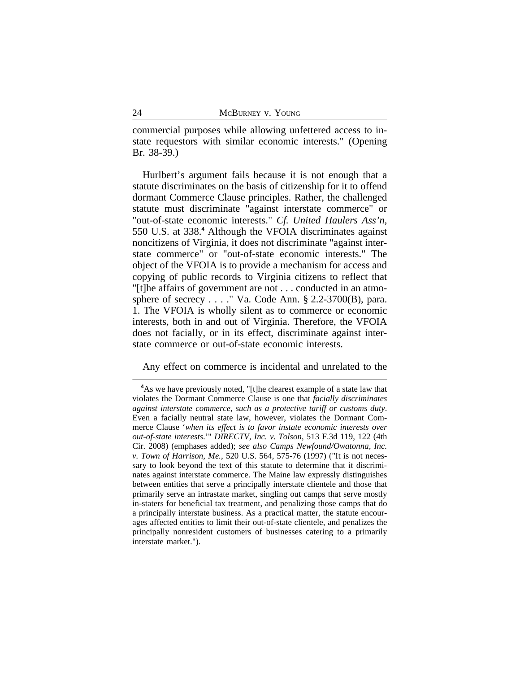commercial purposes while allowing unfettered access to instate requestors with similar economic interests." (Opening Br. 38-39.)

Hurlbert's argument fails because it is not enough that a statute discriminates on the basis of citizenship for it to offend dormant Commerce Clause principles. Rather, the challenged statute must discriminate "against interstate commerce" or "out-of-state economic interests." *Cf. United Haulers Ass'n*, 550 U.S. at 338.**<sup>4</sup>** Although the VFOIA discriminates against noncitizens of Virginia, it does not discriminate "against interstate commerce" or "out-of-state economic interests." The object of the VFOIA is to provide a mechanism for access and copying of public records to Virginia citizens to reflect that "[t]he affairs of government are not . . . conducted in an atmosphere of secrecy . . . ." Va. Code Ann. § 2.2-3700(B), para. 1. The VFOIA is wholly silent as to commerce or economic interests, both in and out of Virginia. Therefore, the VFOIA does not facially, or in its effect, discriminate against interstate commerce or out-of-state economic interests.

Any effect on commerce is incidental and unrelated to the

<sup>&</sup>lt;sup>4</sup>As we have previously noted, "[t]he clearest example of a state law that violates the Dormant Commerce Clause is one that *facially discriminates against interstate commerce, such as a protective tariff or customs duty*. Even a facially neutral state law, however, violates the Dormant Commerce Clause '*when its effect is to favor instate economic interests over out-of-state interests*.'" *DIRECTV, Inc. v. Tolson*, 513 F.3d 119, 122 (4th Cir. 2008) (emphases added); *see also Camps Newfound/Owatonna, Inc. v. Town of Harrison, Me.*, 520 U.S. 564, 575-76 (1997) ("It is not necessary to look beyond the text of this statute to determine that it discriminates against interstate commerce. The Maine law expressly distinguishes between entities that serve a principally interstate clientele and those that primarily serve an intrastate market, singling out camps that serve mostly in-staters for beneficial tax treatment, and penalizing those camps that do a principally interstate business. As a practical matter, the statute encourages affected entities to limit their out-of-state clientele, and penalizes the principally nonresident customers of businesses catering to a primarily interstate market.").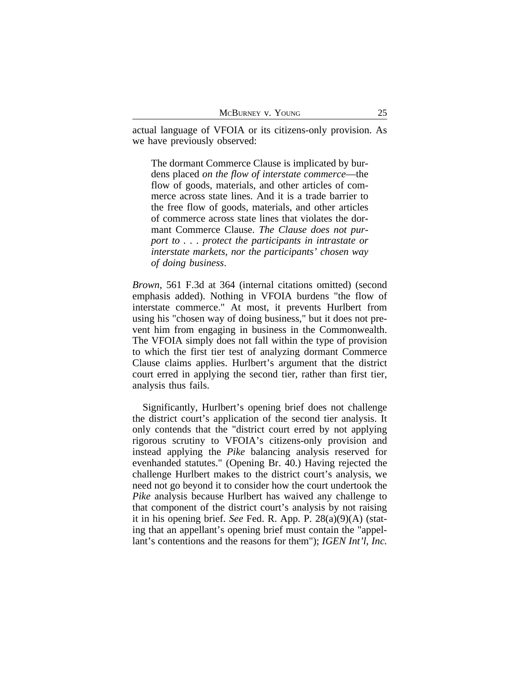actual language of VFOIA or its citizens-only provision. As we have previously observed:

The dormant Commerce Clause is implicated by burdens placed *on the flow of interstate commerce*—the flow of goods, materials, and other articles of commerce across state lines. And it is a trade barrier to the free flow of goods, materials, and other articles of commerce across state lines that violates the dormant Commerce Clause. *The Clause does not purport to . . . protect the participants in intrastate or interstate markets, nor the participants' chosen way of doing business*.

*Brown*, 561 F.3d at 364 (internal citations omitted) (second emphasis added). Nothing in VFOIA burdens "the flow of interstate commerce." At most, it prevents Hurlbert from using his "chosen way of doing business," but it does not prevent him from engaging in business in the Commonwealth. The VFOIA simply does not fall within the type of provision to which the first tier test of analyzing dormant Commerce Clause claims applies. Hurlbert's argument that the district court erred in applying the second tier, rather than first tier, analysis thus fails.

Significantly, Hurlbert's opening brief does not challenge the district court's application of the second tier analysis. It only contends that the "district court erred by not applying rigorous scrutiny to VFOIA's citizens-only provision and instead applying the *Pike* balancing analysis reserved for evenhanded statutes." (Opening Br. 40.) Having rejected the challenge Hurlbert makes to the district court's analysis, we need not go beyond it to consider how the court undertook the *Pike* analysis because Hurlbert has waived any challenge to that component of the district court's analysis by not raising it in his opening brief. *See* Fed. R. App. P. 28(a)(9)(A) (stating that an appellant's opening brief must contain the "appellant's contentions and the reasons for them"); *IGEN Int'l, Inc.*